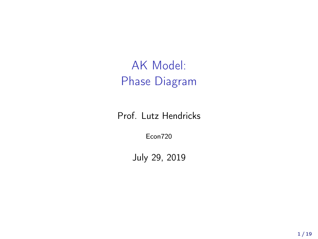AK Model: Phase Diagram

Prof. Lutz Hendricks

Econ720

July 29, 2019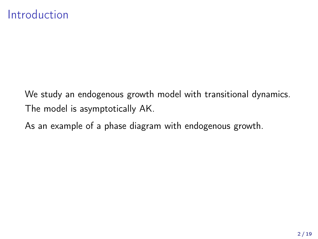#### Introduction

We study an endogenous growth model with transitional dynamics. The model is asymptotically AK.

As an example of a phase diagram with endogenous growth.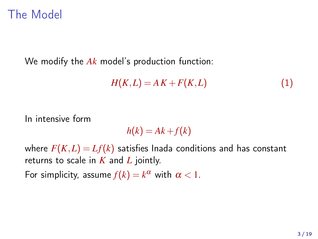### The Model

We modify the *Ak* model's production function:

$$
H(K,L) = AK + F(K,L)
$$
\n(1)

In intensive form

$$
h(k) = Ak + f(k)
$$

where  $F(K,L) = Lf(k)$  satisfies Inada conditions and has constant returns to scale in *K* and *L* jointly.

For simplicity, assume  $f(k) = k^{\alpha}$  with  $\alpha < 1$ .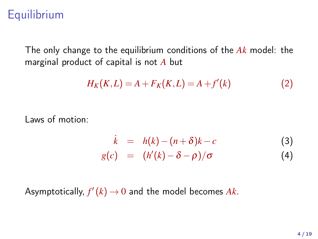## **Equilibrium**

The only change to the equilibrium conditions of the *Ak* model: the marginal product of capital is not *A* but

$$
H_K(K, L) = A + F_K(K, L) = A + f'(k)
$$
 (2)

Laws of motion:

<span id="page-3-0"></span>
$$
\dot{k} = h(k) - (n+\delta)k - c
$$
\n(3)  
\n
$$
g(c) = (h'(k) - \delta - \rho)/\sigma
$$
\n(4)

Asymptotically,  $f'(k) \to 0$  and the model becomes  $Ak$ .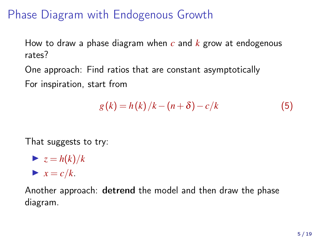# Phase Diagram with Endogenous Growth

How to draw a phase diagram when *c* and *k* grow at endogenous rates?

One approach: Find ratios that are constant asymptotically For inspiration, start from

$$
g(k) = h(k)/k - (n+\delta) - c/k \tag{5}
$$

That suggests to try:

$$
\triangleright z = h(k)/k
$$
  

$$
\triangleright x = c/k.
$$

Another approach: detrend the model and then draw the phase diagram.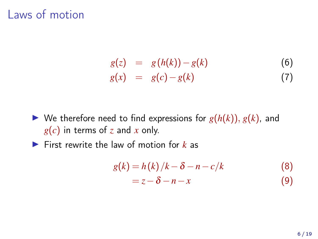$$
g(z) = g(h(k)) - g(k)
$$
(6)  

$$
g(x) = g(c) - g(k)
$$
(7)

- $\blacktriangleright$  We therefore need to find expressions for  $g(h(k)), g(k)$ , and *g*(*c*) in terms of *z* and *x* only.
- ▶ First rewrite the law of motion for *k* as

$$
g(k) = h(k)/k - \delta - n - c/k
$$
  
=  $z - \delta - n - x$  (9)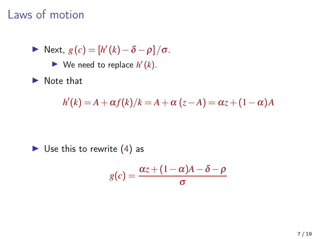$$
\triangleright \text{ Next, } g(c) = [h'(k) - \delta - \rho]/\sigma.
$$

 $\blacktriangleright$  We need to replace  $h'(k)$ .

▶ Note that

$$
h'(k) = A + \alpha f(k)/k = A + \alpha (z - A) = \alpha z + (1 - \alpha)A
$$

$$
\blacktriangleright
$$
 Use this to rewrite (4) as

$$
g(c) = \frac{\alpha z + (1 - \alpha)A - \delta - \rho}{\sigma}
$$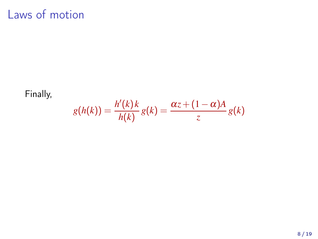Finally,

$$
g(h(k)) = \frac{h'(k)k}{h(k)} g(k) = \frac{\alpha z + (1 - \alpha)A}{z} g(k)
$$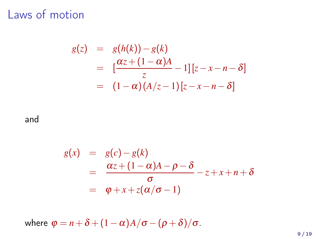$$
g(z) = g(h(k)) - g(k)
$$
  
= 
$$
[\frac{\alpha z + (1 - \alpha)A}{z} - 1][z - x - n - \delta]
$$
  
= 
$$
(1 - \alpha)(A/z - 1)[z - x - n - \delta]
$$

and

$$
g(x) = g(c)-g(k)
$$
  
= 
$$
\frac{\alpha z + (1-\alpha)A - \rho - \delta}{\sigma} - z + x + n + \delta
$$
  
= 
$$
\varphi + x + z(\alpha/\sigma - 1)
$$

where  $\varphi = n + \delta + (1 - \alpha)A/\sigma - (\rho + \delta)/\sigma$ .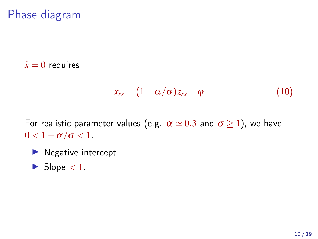# Phase diagram

 $\dot{x} = 0$  requires

$$
x_{ss} = (1 - \alpha/\sigma) z_{ss} - \varphi \tag{10}
$$

For realistic parameter values (e.g.  $\alpha \simeq 0.3$  and  $\sigma \geq 1$ ), we have  $0 < 1 - \alpha/\sigma < 1$ .

- ▶ Negative intercept.
- $\blacktriangleright$  Slope  $< 1$ .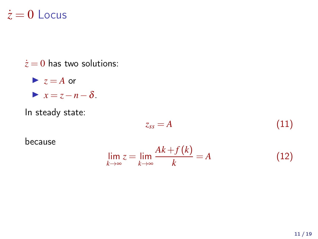#### $\dot{z} = 0$  Locus

 $\dot{z} = 0$  has two solutions:

 $\blacktriangleright$   $z = A$  or  $\blacktriangleright$  *x* = *z*−*n*−δ.

In steady state:

$$
z_{ss} = A \tag{11}
$$

because

$$
\lim_{k \to \infty} z = \lim_{k \to \infty} \frac{Ak + f(k)}{k} = A \tag{12}
$$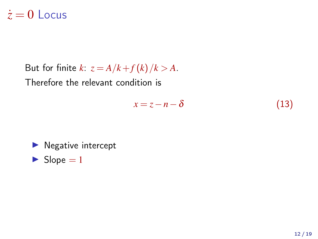### $\dot{z} = 0$  Locus

But for finite *k*:  $z = A/k + f(k)/k > A$ .

Therefore the relevant condition is

$$
x = z - n - \delta \tag{13}
$$

$$
\blacktriangleright
$$
 Negative intercept

 $\blacktriangleright$  Slope = 1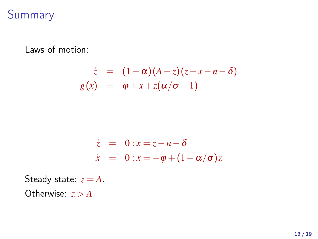## Summary

Laws of motion:

$$
\dot{z} = (1-\alpha)(A-z)(z-x-n-\delta)
$$

$$
g(x) = \varphi + x + z(\alpha/\sigma - 1)
$$

$$
\dot{z} = 0: x = z - n - \delta
$$
  

$$
\dot{x} = 0: x = -\varphi + (1 - \alpha/\sigma)z
$$

Steady state:  $z = A$ . Otherwise:  $z > A$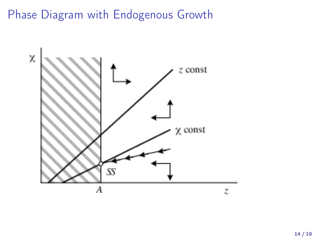Phase Diagram with Endogenous Growth

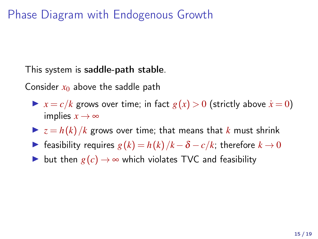Phase Diagram with Endogenous Growth

This system is saddle-path stable.

Consider  $x_0$  above the saddle path

 $\blacktriangleright$   $x = c/k$  grows over time; in fact  $g(x) > 0$  (strictly above  $\dot{x} = 0$ ) implies  $x \rightarrow \infty$ 

- $\blacktriangleright$   $z = h(k)/k$  grows over time; that means that *k* must shrink
- ► feasibility requires  $g(k) = h(k)/k \delta c/k$ ; therefore  $k \to 0$
- ► but then  $g(c) \rightarrow \infty$  which violates TVC and feasibility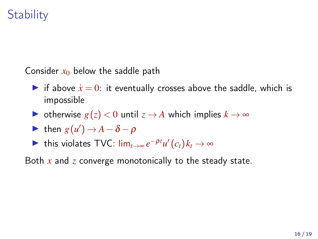# **Stability**

Consider  $x_0$  below the saddle path

- if above  $\dot{x} = 0$ : it eventually crosses above the saddle, which is impossible
- ► otherwise  $g(z) < 0$  until  $z \rightarrow A$  which implies  $k \rightarrow \infty$
- $\triangleright$  then *g*(*u'*) → *A* − δ − ρ
- ► this violates TVC:  $\lim_{t\to\infty} e^{-\rho t}u'(c_t)k_t\to\infty$

Both *x* and *z* converge monotonically to the steady state.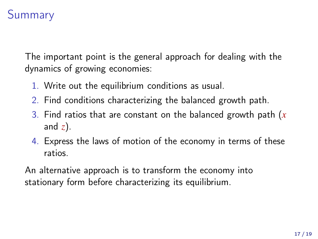# **Summary**

The important point is the general approach for dealing with the dynamics of growing economies:

- 1. Write out the equilibrium conditions as usual.
- 2. Find conditions characterizing the balanced growth path.
- 3. Find ratios that are constant on the balanced growth path (*x* and *z*).
- 4. Express the laws of motion of the economy in terms of these ratios.

An alternative approach is to transform the economy into stationary form before characterizing its equilibrium.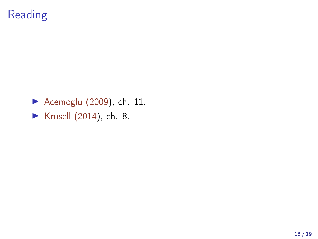# Reading

▶ Acemoglu (2009), ch. 11. ▶ Krusell (2014), ch. 8.